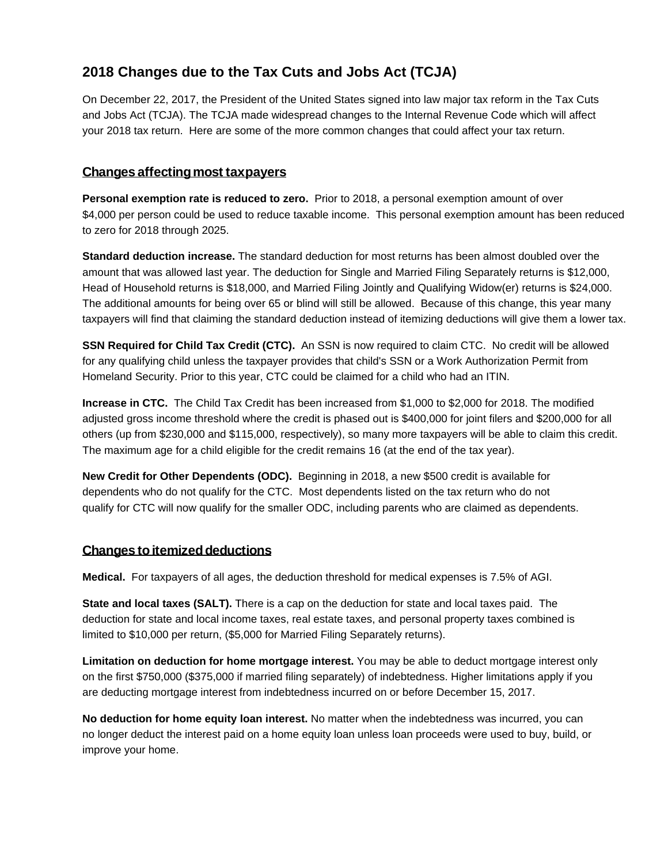## **2018 Changes due to the Tax Cuts and Jobs Act (TCJA)**

On December 22, 2017, the President of the United States signed into law major tax reform in the Tax Cuts and Jobs Act (TCJA). The TCJA made widespread changes to the Internal Revenue Code which will affect your 2018 tax return. Here are some of the more common changes that could affect your tax return.

## **Changes affectingmost taxpayers**

**Personal exemption rate is reduced to zero.** Prior to 2018, a personal exemption amount of over \$4,000 per person could be used to reduce taxable income. This personal exemption amount has been reduced to zero for 2018 through 2025.

**Standard deduction increase.** The standard deduction for most returns has been almost doubled over the amount that was allowed last year. The deduction for Single and Married Filing Separately returns is \$12,000, Head of Household returns is \$18,000, and Married Filing Jointly and Qualifying Widow(er) returns is \$24,000. The additional amounts for being over 65 or blind will still be allowed. Because of this change, this year many taxpayers will find that claiming the standard deduction instead of itemizing deductions will give them a lower tax.

**SSN Required for Child Tax Credit (CTC).** An SSN is now required to claim CTC. No credit will be allowed for any qualifying child unless the taxpayer provides that child's SSN or a Work Authorization Permit from Homeland Security. Prior to this year, CTC could be claimed for a child who had an ITIN.

**Increase in CTC.** The Child Tax Credit has been increased from \$1,000 to \$2,000 for 2018. The modified adjusted gross income threshold where the credit is phased out is \$400,000 for joint filers and \$200,000 for all others (up from \$230,000 and \$115,000, respectively), so many more taxpayers will be able to claim this credit. The maximum age for a child eligible for the credit remains 16 (at the end of the tax year).

**New Credit for Other Dependents (ODC).** Beginning in 2018, a new \$500 credit is available for dependents who do not qualify for the CTC. Most dependents listed on the tax return who do not qualify for CTC will now qualify for the smaller ODC, including parents who are claimed as dependents.

## **Changes to itemized deductions**

**Medical.** For taxpayers of all ages, the deduction threshold for medical expenses is 7.5% of AGI.

**State and local taxes (SALT).** There is a cap on the deduction for state and local taxes paid. The deduction for state and local income taxes, real estate taxes, and personal property taxes combined is limited to \$10,000 per return, (\$5,000 for Married Filing Separately returns).

**Limitation on deduction for home mortgage interest.** You may be able to deduct mortgage interest only on the first \$750,000 (\$375,000 if married filing separately) of indebtedness. Higher limitations apply if you are deducting mortgage interest from indebtedness incurred on or before December 15, 2017.

**No deduction for home equity loan interest.** No matter when the indebtedness was incurred, you can no longer deduct the interest paid on a home equity loan unless loan proceeds were used to buy, build, or improve your home.